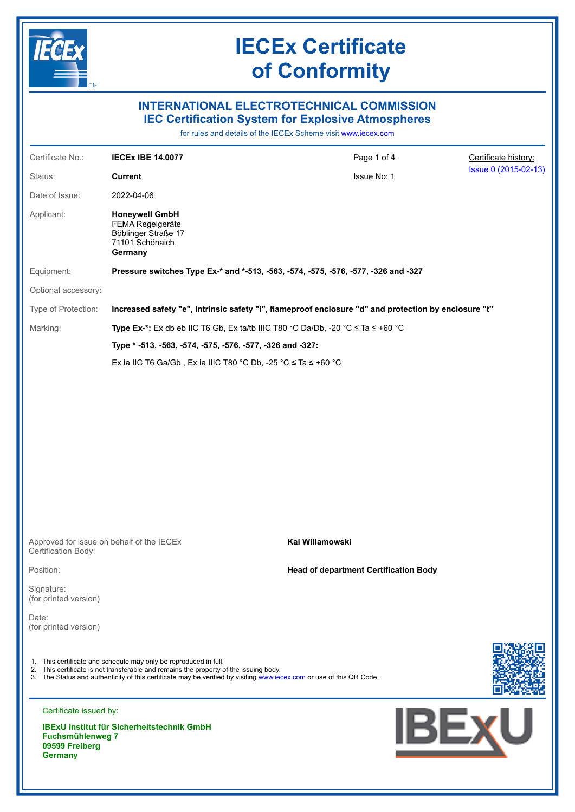

## **INTERNATIONAL ELECTROTECHNICAL COMMISSION IEC Certification System for Explosive Atmospheres**

for rules and details of the IECEx Scheme visit [www.iecex.com](https://www.iecex.com)

| Certificate No.:                                            | <b>IECEX IBE 14.0077</b>                                                                                                                                                                                                                                                          | Page 1 of 4                                                                                          | Certificate history: |
|-------------------------------------------------------------|-----------------------------------------------------------------------------------------------------------------------------------------------------------------------------------------------------------------------------------------------------------------------------------|------------------------------------------------------------------------------------------------------|----------------------|
| Status:                                                     | <b>Current</b>                                                                                                                                                                                                                                                                    | Issue No: 1                                                                                          | Issue 0 (2015-02-13) |
| Date of Issue:                                              | 2022-04-06                                                                                                                                                                                                                                                                        |                                                                                                      |                      |
| Applicant:                                                  | <b>Honeywell GmbH</b><br>FEMA Regelgeräte<br>Böblinger Straße 17<br>71101 Schönaich<br>Germany                                                                                                                                                                                    |                                                                                                      |                      |
| Equipment:                                                  | Pressure switches Type Ex-* and *-513, -563, -574, -575, -576, -577, -326 and -327                                                                                                                                                                                                |                                                                                                      |                      |
| Optional accessory:                                         |                                                                                                                                                                                                                                                                                   |                                                                                                      |                      |
| Type of Protection:                                         |                                                                                                                                                                                                                                                                                   | Increased safety "e", Intrinsic safety "i", flameproof enclosure "d" and protection by enclosure "t" |                      |
| Marking:                                                    | Type Ex-*: Ex db eb IIC T6 Gb, Ex ta/tb IIIC T80 °C Da/Db, -20 °C $\le$ Ta $\le$ +60 °C                                                                                                                                                                                           |                                                                                                      |                      |
|                                                             | Type * -513, -563, -574, -575, -576, -577, -326 and -327:                                                                                                                                                                                                                         |                                                                                                      |                      |
|                                                             | Ex ia IIC T6 Ga/Gb, Ex ia IIIC T80 °C Db, -25 °C $\leq$ Ta $\leq$ +60 °C                                                                                                                                                                                                          |                                                                                                      |                      |
|                                                             | Approved for issue on behalf of the IECEx                                                                                                                                                                                                                                         | Kai Willamowski                                                                                      |                      |
| Certification Body:                                         |                                                                                                                                                                                                                                                                                   |                                                                                                      |                      |
| Position:                                                   |                                                                                                                                                                                                                                                                                   | <b>Head of department Certification Body</b>                                                         |                      |
| Signature:<br>(for printed version)                         |                                                                                                                                                                                                                                                                                   |                                                                                                      |                      |
| Date:<br>(for printed version)                              |                                                                                                                                                                                                                                                                                   |                                                                                                      |                      |
|                                                             | 1. This certificate and schedule may only be reproduced in full.<br>2. This certificate is not transferable and remains the property of the issuing body.<br>3. The Status and authenticity of this certificate may be verified by visiting www.iecex.com or use of this QR Code. |                                                                                                      |                      |
| Certificate issued by:                                      |                                                                                                                                                                                                                                                                                   |                                                                                                      |                      |
| <b>Fuchsmühlenweg 7</b><br>09599 Freiberg<br><b>Germany</b> | <b>IBExU Institut für Sicherheitstechnik GmbH</b>                                                                                                                                                                                                                                 |                                                                                                      | <u>IBEX</u> U        |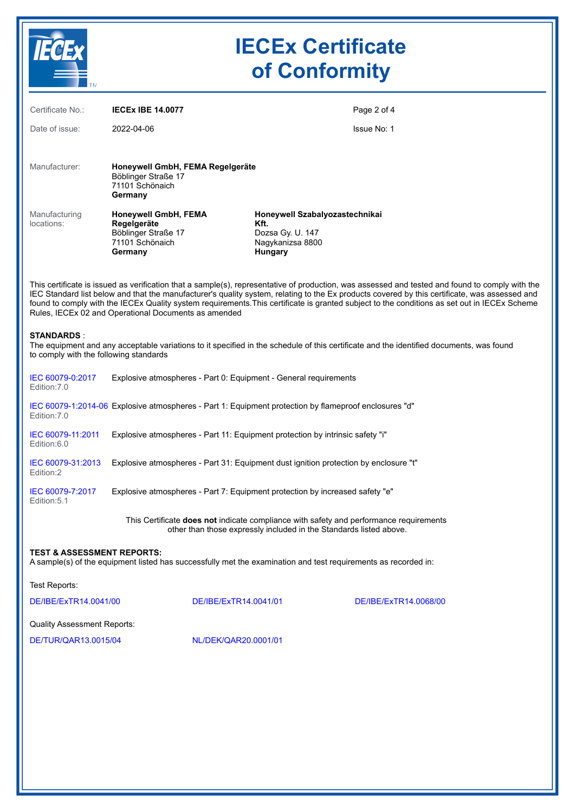

| $-$ TM                                                      |                                                                                                                |                                                                                           |                                                                                                                                                                                                                                                                                                                                                                                                                                                  |  |  |
|-------------------------------------------------------------|----------------------------------------------------------------------------------------------------------------|-------------------------------------------------------------------------------------------|--------------------------------------------------------------------------------------------------------------------------------------------------------------------------------------------------------------------------------------------------------------------------------------------------------------------------------------------------------------------------------------------------------------------------------------------------|--|--|
| Certificate No.:                                            | <b>IECEX IBE 14.0077</b>                                                                                       |                                                                                           | Page 2 of 4                                                                                                                                                                                                                                                                                                                                                                                                                                      |  |  |
| Date of issue:                                              | 2022-04-06                                                                                                     |                                                                                           | Issue No: 1                                                                                                                                                                                                                                                                                                                                                                                                                                      |  |  |
| Manufacturer:                                               | Honeywell GmbH, FEMA Regelgeräte<br>Böblinger Straße 17<br>71101 Schönaich<br>Germany                          |                                                                                           |                                                                                                                                                                                                                                                                                                                                                                                                                                                  |  |  |
| Manufacturing<br>locations:                                 | Honeywell GmbH, FEMA<br>Regelgeräte<br>Böblinger Straße 17<br>71101 Schönaich<br>Germany                       | Honeywell Szabalyozastechnikai<br>Kft.<br>Dozsa Gy. U. 147<br>Nagykanizsa 8800<br>Hungary |                                                                                                                                                                                                                                                                                                                                                                                                                                                  |  |  |
|                                                             | Rules, IECEx 02 and Operational Documents as amended                                                           |                                                                                           | This certificate is issued as verification that a sample(s), representative of production, was assessed and tested and found to comply with the<br>IEC Standard list below and that the manufacturer's quality system, relating to the Ex products covered by this certificate, was assessed and<br>found to comply with the IECEx Quality system requirements. This certificate is granted subject to the conditions as set out in IECEx Scheme |  |  |
| <b>STANDARDS:</b><br>to comply with the following standards |                                                                                                                |                                                                                           | The equipment and any acceptable variations to it specified in the schedule of this certificate and the identified documents, was found                                                                                                                                                                                                                                                                                                          |  |  |
| IEC 60079-0:2017<br>Edition: 7.0                            | Explosive atmospheres - Part 0: Equipment - General requirements                                               |                                                                                           |                                                                                                                                                                                                                                                                                                                                                                                                                                                  |  |  |
| Edition: 7.0                                                | IEC 60079-1:2014-06 Explosive atmospheres - Part 1: Equipment protection by flameproof enclosures "d"          |                                                                                           |                                                                                                                                                                                                                                                                                                                                                                                                                                                  |  |  |
| IEC 60079-11:2011<br>Edition:6.0                            | Explosive atmospheres - Part 11: Equipment protection by intrinsic safety "i"                                  |                                                                                           |                                                                                                                                                                                                                                                                                                                                                                                                                                                  |  |  |
| IEC 60079-31:2013<br>Edition:2                              | Explosive atmospheres - Part 31: Equipment dust ignition protection by enclosure "t"                           |                                                                                           |                                                                                                                                                                                                                                                                                                                                                                                                                                                  |  |  |
| IEC 60079-7:2017<br>Edition: 5.1                            | Explosive atmospheres - Part 7: Equipment protection by increased safety "e"                                   |                                                                                           |                                                                                                                                                                                                                                                                                                                                                                                                                                                  |  |  |
|                                                             |                                                                                                                | other than those expressly included in the Standards listed above.                        | This Certificate does not indicate compliance with safety and performance requirements                                                                                                                                                                                                                                                                                                                                                           |  |  |
| <b>TEST &amp; ASSESSMENT REPORTS:</b>                       | A sample(s) of the equipment listed has successfully met the examination and test requirements as recorded in: |                                                                                           |                                                                                                                                                                                                                                                                                                                                                                                                                                                  |  |  |
| Test Reports:                                               |                                                                                                                |                                                                                           |                                                                                                                                                                                                                                                                                                                                                                                                                                                  |  |  |
| DE/IBE/ExTR14.0041/00                                       | DE/IBE/ExTR14.0041/01                                                                                          |                                                                                           | DE/IBE/ExTR14.0068/00                                                                                                                                                                                                                                                                                                                                                                                                                            |  |  |
| <b>Quality Assessment Reports:</b>                          |                                                                                                                |                                                                                           |                                                                                                                                                                                                                                                                                                                                                                                                                                                  |  |  |
| DE/TUR/QAR13.0015/04                                        | NL/DEK/QAR20.0001/01                                                                                           |                                                                                           |                                                                                                                                                                                                                                                                                                                                                                                                                                                  |  |  |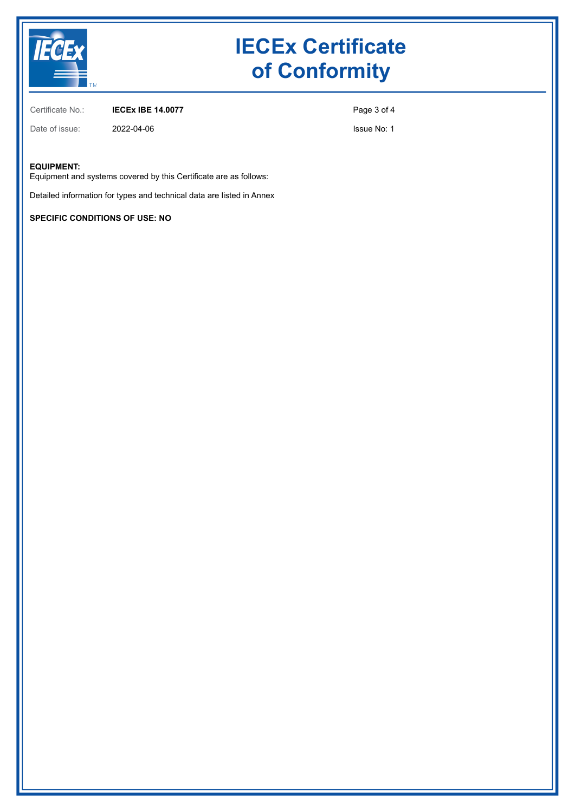

Certificate No.: **IECEx IBE 14.0077**

Date of issue: 2022-04-06

Page 3 of 4

Issue No: 1

#### **EQUIPMENT:**

Equipment and systems covered by this Certificate are as follows:

Detailed information for types and technical data are listed in Annex

**SPECIFIC CONDITIONS OF USE: NO**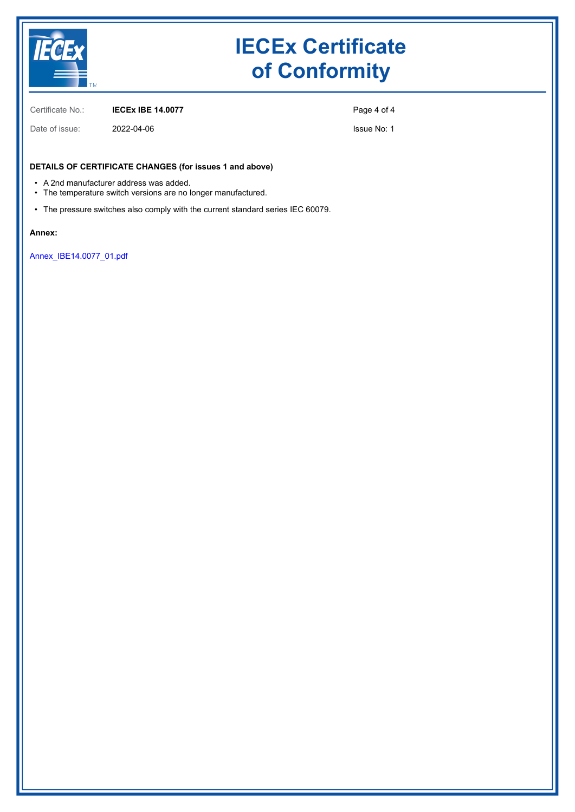

Certificate No.: **IECEx IBE 14.0077**

Page 4 of 4

Issue No: 1

### **DETAILS OF CERTIFICATE CHANGES (for issues 1 and above)**

• A 2nd manufacturer address was added.

Date of issue: 2022-04-06

- The temperature switch versions are no longer manufactured.
- The pressure switches also comply with the current standard series IEC 60079.

#### **Annex:**

[Annex\\_IBE14.0077\\_01.pdf](https://www.iecex-certs.com/#/deliverables/CERT/57093/view)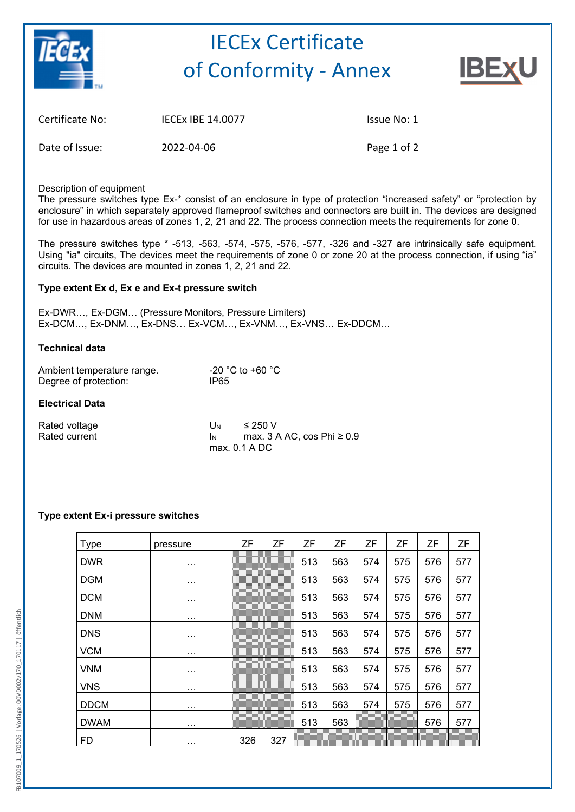

# IECEx Certificate of Conformity ‐ Annex



| Certificate No: | <b>IECEX IBE 14.0077</b> |
|-----------------|--------------------------|
|                 |                          |

Issue No: 1

Date of Issue: 2022-04-06 Page 1 of 2

Description of equipment

The pressure switches type Ex-\* consist of an enclosure in type of protection "increased safety" or "protection by enclosure" in which separately approved flameproof switches and connectors are built in. The devices are designed for use in hazardous areas of zones 1, 2, 21 and 22. The process connection meets the requirements for zone 0.

The pressure switches type \* -513, -563, -574, -575, -576, -577, -326 and -327 are intrinsically safe equipment. Using "ia" circuits, The devices meet the requirements of zone 0 or zone 20 at the process connection, if using "ia" circuits. The devices are mounted in zones 1, 2, 21 and 22.

## **Type extent Ex d, Ex e and Ex-t pressure switch**

Ex-DWR…, Ex-DGM… (Pressure Monitors, Pressure Limiters) Ex-DCM…, Ex-DNM…, Ex-DNS… Ex-VCM…, Ex-VNM…, Ex-VNS… Ex-DDCM…

### **Technical data**

| Ambient temperature range. | -20 °C to +60 °C |
|----------------------------|------------------|
| Degree of protection:      | IP65             |

### **Electrical Data**

| Rated voltage | U <sub>N</sub> | ≤ 250 V                           |
|---------------|----------------|-----------------------------------|
| Rated current |                | max. $3$ A AC, cos Phi $\geq 0.9$ |
|               |                | max. 0.1 A DC                     |

### **Type extent Ex-i pressure switches**

| Type        | pressure | ΖF  | ZF  | ΖF  | ZF  | ΖF  | ΖF  | ZF  | ZF  |
|-------------|----------|-----|-----|-----|-----|-----|-----|-----|-----|
| <b>DWR</b>  | $\cdots$ |     |     | 513 | 563 | 574 | 575 | 576 | 577 |
| <b>DGM</b>  | $\cdots$ |     |     | 513 | 563 | 574 | 575 | 576 | 577 |
| <b>DCM</b>  | $\cdots$ |     |     | 513 | 563 | 574 | 575 | 576 | 577 |
| <b>DNM</b>  | $\cdots$ |     |     | 513 | 563 | 574 | 575 | 576 | 577 |
| <b>DNS</b>  | $\cdots$ |     |     | 513 | 563 | 574 | 575 | 576 | 577 |
| <b>VCM</b>  | $\cdots$ |     |     | 513 | 563 | 574 | 575 | 576 | 577 |
| <b>VNM</b>  | $\cdots$ |     |     | 513 | 563 | 574 | 575 | 576 | 577 |
| <b>VNS</b>  | $\cdots$ |     |     | 513 | 563 | 574 | 575 | 576 | 577 |
| <b>DDCM</b> | $\cdots$ |     |     | 513 | 563 | 574 | 575 | 576 | 577 |
| <b>DWAM</b> | $\cdots$ |     |     | 513 | 563 |     |     | 576 | 577 |
| <b>FD</b>   | $\cdots$ | 326 | 327 |     |     |     |     |     |     |